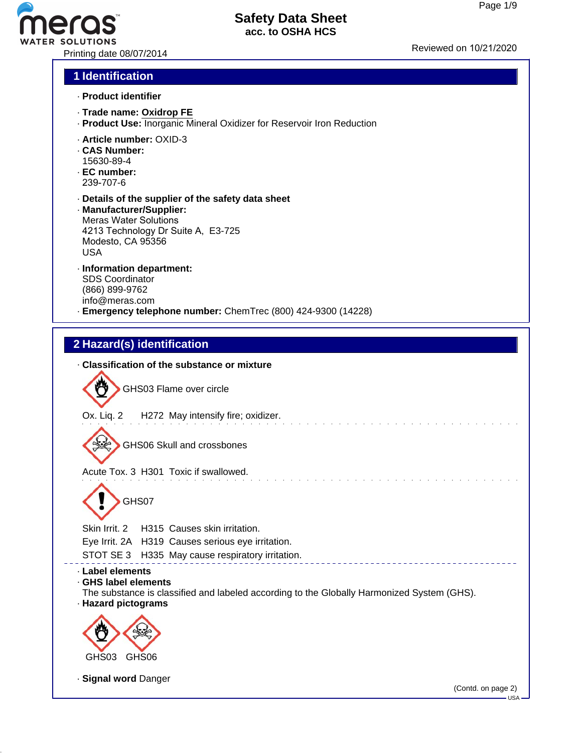# ER SOLUTIONS<br>Printing date 08/07/2014 Printing date 08/07/2014

#### **Safety Data Sheet acc. to OSHA HCS**

#### **1 Identification**

- · **Product identifier**
- · **Trade name: Oxidrop FE**
- · **Product Use:** Inorganic Mineral Oxidizer for Reservoir Iron Reduction
- · **Article number:** OXID-3
- · **CAS Number:** 15630-89-4
- · **EC number:** 239-707-6
- · **Details of the supplier of the safety data sheet**
- · **Manufacturer/Supplier:** Meras Water Solutions 4213 Technology Dr Suite A, E3-725 Modesto, CA 95356 USA
- · **Information department:** SDS Coordinator (866) 899-9762 info@meras.com
- · **Emergency telephone number:** ChemTrec (800) 424-9300 (14228)

#### **2 Hazard(s) identification**

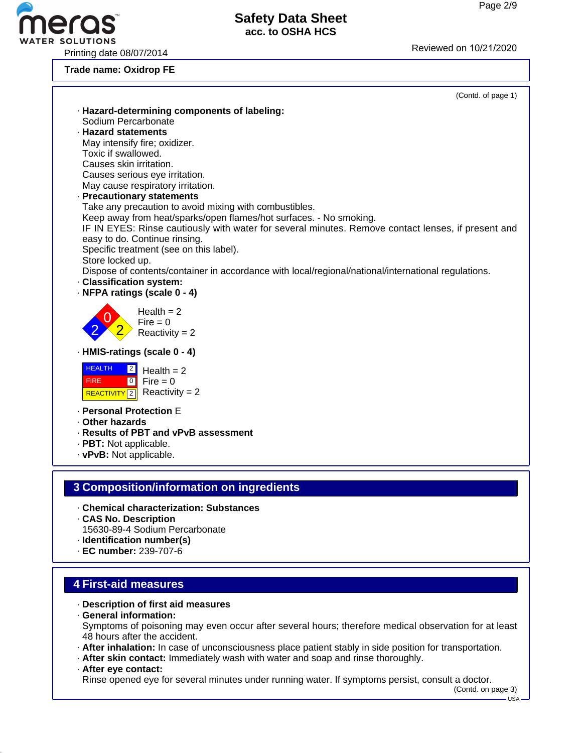Printing date 08/07/2014 **Printing** date 08/07/2014

**Trade name: Oxidrop FE**

ER SOLUTIONS



#### · **Description of first aid measures**

- · **General information:** Symptoms of poisoning may even occur after several hours; therefore medical observation for at least 48 hours after the accident.
- · **After inhalation:** In case of unconsciousness place patient stably in side position for transportation.

· **After skin contact:** Immediately wash with water and soap and rinse thoroughly.

· **After eye contact:**

Rinse opened eye for several minutes under running water. If symptoms persist, consult a doctor. (Contd. on page 3)

 $-11S_A$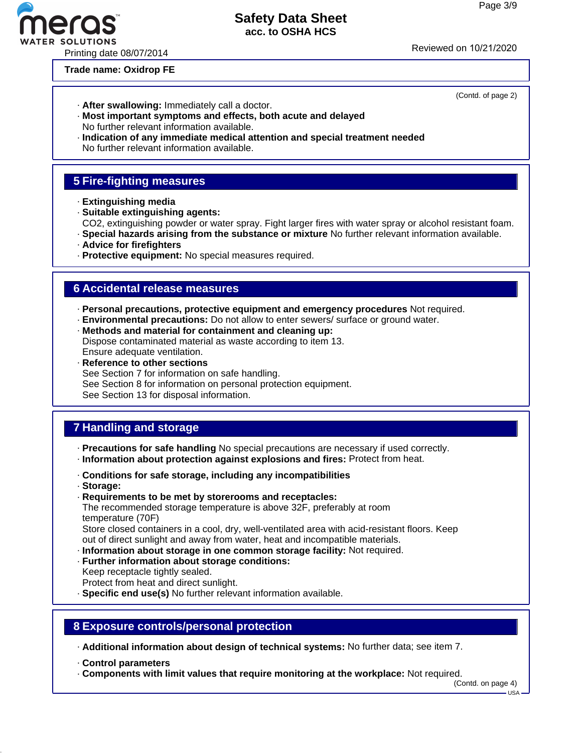#### **Trade name: Oxidrop FE**

- · **After swallowing:** Immediately call a doctor.
- · **Most important symptoms and effects, both acute and delayed** No further relevant information available.
- · **Indication of any immediate medical attention and special treatment needed** No further relevant information available.

#### **5 Fire-fighting measures**

- · **Extinguishing media**
- · **Suitable extinguishing agents:**
- CO2, extinguishing powder or water spray. Fight larger fires with water spray or alcohol resistant foam.
- · **Special hazards arising from the substance or mixture** No further relevant information available.
- · **Advice for firefighters**
- · **Protective equipment:** No special measures required.

#### **6 Accidental release measures**

- · **Personal precautions, protective equipment and emergency procedures** Not required.
- · **Environmental precautions:** Do not allow to enter sewers/ surface or ground water.
- · **Methods and material for containment and cleaning up:** Dispose contaminated material as waste according to item 13. Ensure adequate ventilation.
- · **Reference to other sections** See Section 7 for information on safe handling. See Section 8 for information on personal protection equipment.
- See Section 13 for disposal information.

#### **7 Handling and storage**

· **Precautions for safe handling** No special precautions are necessary if used correctly.

- · **Information about protection against explosions and fires:** Protect from heat.
- · **Conditions for safe storage, including any incompatibilities**
- · **Storage:**
- · **Requirements to be met by storerooms and receptacles:**

The recommended storage temperature is above 32F, preferably at room temperature (70F)

Store closed containers in a cool, dry, well-ventilated area with acid-resistant floors. Keep out of direct sunlight and away from water, heat and incompatible materials.

- · **Information about storage in one common storage facility:** Not required.
- · **Further information about storage conditions:** Keep receptacle tightly sealed.
- Protect from heat and direct sunlight.
- · **Specific end use(s)** No further relevant information available.

#### **8 Exposure controls/personal protection**

· **Additional information about design of technical systems:** No further data; see item 7.

- · **Control parameters**
- · **Components with limit values that require monitoring at the workplace:** Not required.

(Contd. on page 4)

USA

#### (Contd. of page 2)

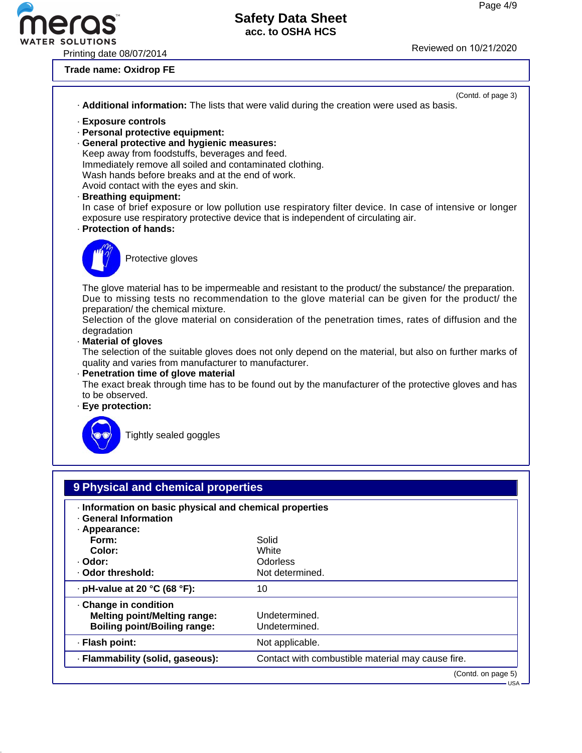WATER SOLUTIONS<br>Printing date 08/07/2014 Reviewed on 10/21/2020

eras

**Trade name: Oxidrop FE**

| (Contd. of page 3)<br>. Additional information: The lists that were valid during the creation were used as basis.                                                                                                                                                                                                                                                                                                                                                                                         |
|-----------------------------------------------------------------------------------------------------------------------------------------------------------------------------------------------------------------------------------------------------------------------------------------------------------------------------------------------------------------------------------------------------------------------------------------------------------------------------------------------------------|
| · Exposure controls<br>· Personal protective equipment:<br>· General protective and hygienic measures:<br>Keep away from foodstuffs, beverages and feed.<br>Immediately remove all soiled and contaminated clothing.<br>Wash hands before breaks and at the end of work.<br>Avoid contact with the eyes and skin.<br>· Breathing equipment:<br>In case of brief exposure or low pollution use respiratory filter device. In case of intensive or longer                                                   |
| exposure use respiratory protective device that is independent of circulating air.<br>· Protection of hands:<br>Protective gloves                                                                                                                                                                                                                                                                                                                                                                         |
| The glove material has to be impermeable and resistant to the product/ the substance/ the preparation.<br>Due to missing tests no recommendation to the glove material can be given for the product/ the<br>preparation/ the chemical mixture.<br>Selection of the glove material on consideration of the penetration times, rates of diffusion and the<br>degradation<br>· Material of gloves<br>The selection of the suitable gloves does not only depend on the material, but also on further marks of |
| quality and varies from manufacturer to manufacturer.<br>- Penetration time of glove material<br>The exact break through time has to be found out by the manufacturer of the protective gloves and has<br>to be observed.<br>· Eye protection:                                                                                                                                                                                                                                                            |
| Tightly sealed goggles                                                                                                                                                                                                                                                                                                                                                                                                                                                                                    |
| 9 Physical and chemical properties                                                                                                                                                                                                                                                                                                                                                                                                                                                                        |

- · **Information on basic physical and chemical properties**
- · **General Information**

| · Appearance:<br>Form:<br>Color:<br>· Odor:<br>. Odor threshold:                                  | Solid<br>White<br><b>Odorless</b><br>Not determined. |
|---------------------------------------------------------------------------------------------------|------------------------------------------------------|
| $\cdot$ pH-value at 20 °C (68 °F):                                                                | 10                                                   |
| Change in condition<br><b>Melting point/Melting range:</b><br><b>Boiling point/Boiling range:</b> | Undetermined.<br>Undetermined.                       |
| · Flash point:                                                                                    | Not applicable.                                      |
| · Flammability (solid, gaseous):                                                                  | Contact with combustible material may cause fire.    |
|                                                                                                   | (Contd. on page 5)                                   |

USA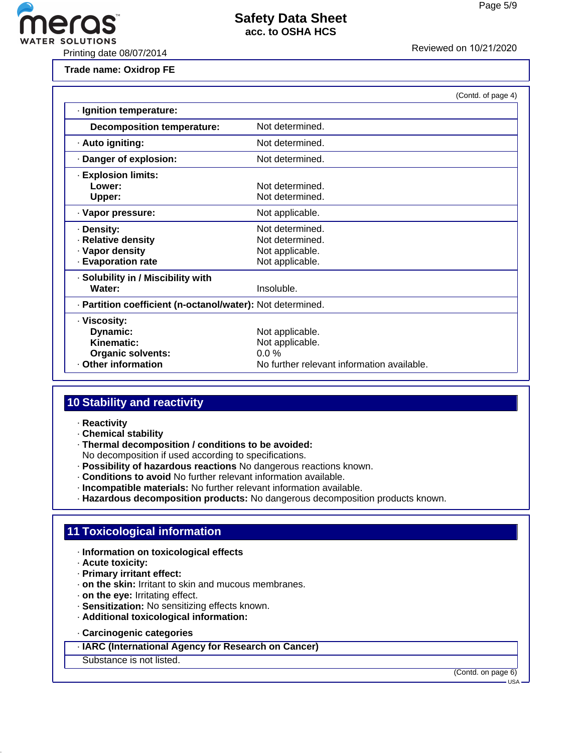

**Trade name: Oxidrop FE**

|                                                            |                                            | (Contd. of page 4) |
|------------------------------------------------------------|--------------------------------------------|--------------------|
| · Ignition temperature:                                    |                                            |                    |
| <b>Decomposition temperature:</b>                          | Not determined.                            |                    |
| · Auto igniting:                                           | Not determined.                            |                    |
| Danger of explosion:                                       | Not determined.                            |                    |
| · Explosion limits:                                        |                                            |                    |
| Lower:                                                     | Not determined.                            |                    |
| Upper:                                                     | Not determined.                            |                    |
| · Vapor pressure:                                          | Not applicable.                            |                    |
| · Density:                                                 | Not determined.                            |                    |
| · Relative density                                         | Not determined.                            |                    |
| · Vapor density                                            | Not applicable.                            |                    |
| <b>Evaporation rate</b>                                    | Not applicable.                            |                    |
| · Solubility in / Miscibility with                         |                                            |                    |
| Water:                                                     | Insoluble.                                 |                    |
| - Partition coefficient (n-octanol/water): Not determined. |                                            |                    |
| · Viscosity:                                               |                                            |                    |
| Dynamic:                                                   | Not applicable.                            |                    |
| Kinematic:                                                 | Not applicable.                            |                    |
| <b>Organic solvents:</b>                                   | $0.0\%$                                    |                    |
| <b>Other information</b>                                   | No further relevant information available. |                    |

#### **10 Stability and reactivity**

- · **Reactivity**
- · **Chemical stability**
- · **Thermal decomposition / conditions to be avoided:**
- No decomposition if used according to specifications.
- · **Possibility of hazardous reactions** No dangerous reactions known.
- · **Conditions to avoid** No further relevant information available.
- · **Incompatible materials:** No further relevant information available.
- · **Hazardous decomposition products:** No dangerous decomposition products known.

#### **11 Toxicological information**

- · **Information on toxicological effects**
- · **Acute toxicity:**
- · **Primary irritant effect:**
- · **on the skin:** Irritant to skin and mucous membranes.
- · **on the eye:** Irritating effect.
- · **Sensitization:** No sensitizing effects known.
- · **Additional toxicological information:**
- · **Carcinogenic categories**
- · **IARC (International Agency for Research on Cancer)**
- Substance is not listed.

(Contd. on page 6)

 $-HSA$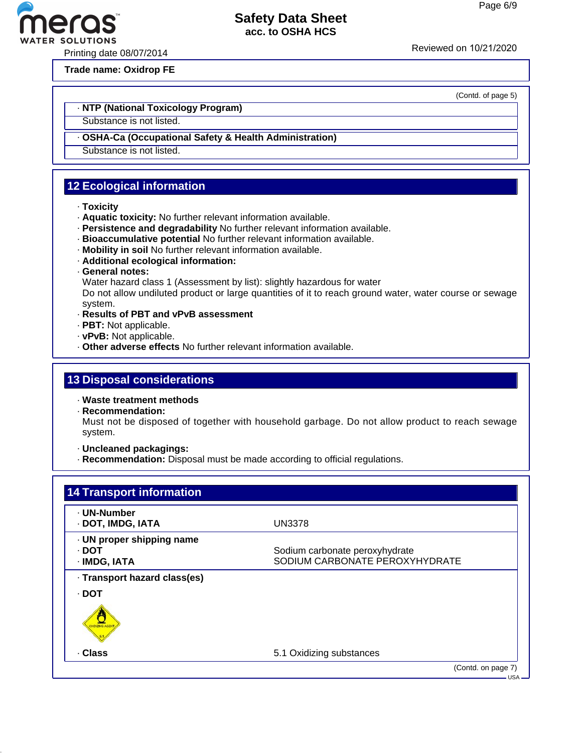ero

Printing date 08/07/2014 Reviewed on 10/21/20<sup>20</sup>

**Trade name: Oxidrop FE**

#### · **NTP (National Toxicology Program)**

Substance is not listed.

- · **OSHA-Ca (Occupational Safety & Health Administration)**
- Substance is not listed.

#### **12 Ecological information**

- · **Toxicity**
- · **Aquatic toxicity:** No further relevant information available.
- · **Persistence and degradability** No further relevant information available.
- · **Bioaccumulative potential** No further relevant information available.
- · **Mobility in soil** No further relevant information available.
- · **Additional ecological information:**
- · **General notes:**
- Water hazard class 1 (Assessment by list): slightly hazardous for water

Do not allow undiluted product or large quantities of it to reach ground water, water course or sewage system.

- · **Results of PBT and vPvB assessment**
- · **PBT:** Not applicable.
- · **vPvB:** Not applicable.
- · **Other adverse effects** No further relevant information available.

#### **13 Disposal considerations**

· **Waste treatment methods**

· **Recommendation:**

Must not be disposed of together with household garbage. Do not allow product to reach sewage system.

· **Uncleaned packagings:**

· **Recommendation:** Disposal must be made according to official regulations.

| · UN-Number                  |                                |
|------------------------------|--------------------------------|
| · DOT, IMDG, IATA            | <b>UN3378</b>                  |
| · UN proper shipping name    |                                |
| · DOT                        | Sodium carbonate peroxyhydrate |
| · IMDG, IATA                 | SODIUM CARBONATE PEROXYHYDRATE |
| · Transport hazard class(es) |                                |
| · DOT                        |                                |
|                              |                                |
| · Class                      | 5.1 Oxidizing substances       |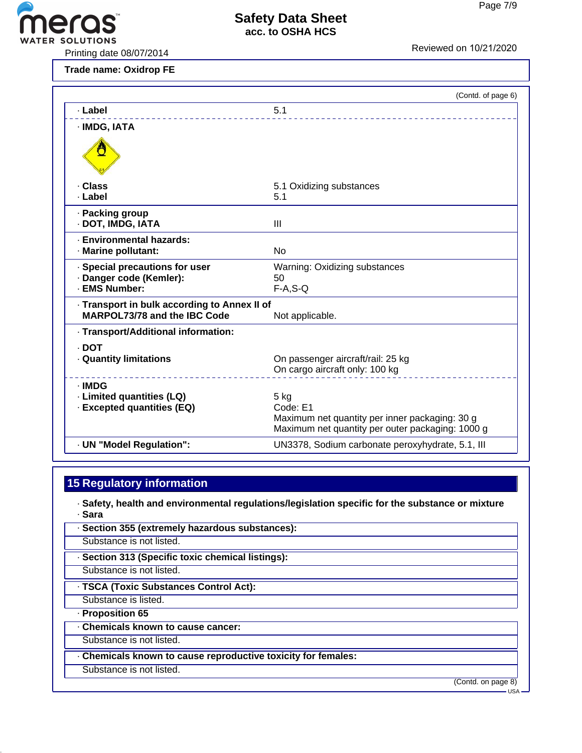

VATER SOLUTIONS<br>Printing date 08/07/2014 Reviewed on 10/21/2020

**Trade name: Oxidrop FE**

|                                                                                     | (Contd. of page 6)                               |
|-------------------------------------------------------------------------------------|--------------------------------------------------|
| · Label                                                                             | 5.1                                              |
| · IMDG, IATA                                                                        |                                                  |
|                                                                                     |                                                  |
| . Class                                                                             | 5.1 Oxidizing substances                         |
| · Label                                                                             | 5.1                                              |
| · Packing group<br>· DOT, IMDG, IATA                                                | Ш                                                |
| · Environmental hazards:<br>· Marine pollutant:                                     | <b>No</b>                                        |
| · Special precautions for user                                                      | Warning: Oxidizing substances                    |
| · Danger code (Kemler):<br>· EMS Number:                                            | 50<br>$F-A, S-Q$                                 |
|                                                                                     |                                                  |
| · Transport in bulk according to Annex II of<br><b>MARPOL73/78 and the IBC Code</b> | Not applicable.                                  |
| · Transport/Additional information:                                                 |                                                  |
| . DOT                                                                               |                                                  |
| <b>Quantity limitations</b>                                                         | On passenger aircraft/rail: 25 kg                |
|                                                                                     | On cargo aircraft only: 100 kg                   |
| · IMDG                                                                              |                                                  |
| · Limited quantities (LQ)                                                           | $5$ kg<br>Code: E1                               |
| · Excepted quantities (EQ)                                                          | Maximum net quantity per inner packaging: 30 g   |
|                                                                                     | Maximum net quantity per outer packaging: 1000 g |
| · UN "Model Regulation":                                                            | UN3378, Sodium carbonate peroxyhydrate, 5.1, III |
|                                                                                     |                                                  |

### **15 Regulatory information**

· **Safety, health and environmental regulations/legislation specific for the substance or mixture** · **Sara**

· **Section 355 (extremely hazardous substances):** Substance is not listed. · **Section 313 (Specific toxic chemical listings):** Substance is not listed. · **TSCA (Toxic Substances Control Act):** Substance is listed. · **Proposition 65** · **Chemicals known to cause cancer:** Substance is not listed. · **Chemicals known to cause reproductive toxicity for females:** Substance is not listed.

(Contd. on page 8) USA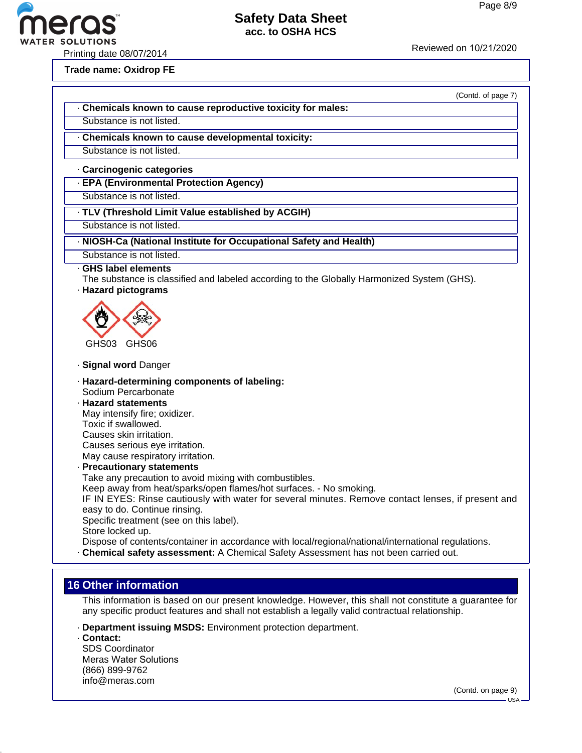P SOLUTIONS<br>Printing date 08/07/2014 Printing date 08/07/2014

**Trade name: Oxidrop FE**

(Contd. of page 7)

- · **Chemicals known to cause reproductive toxicity for males:**
- Substance is not listed.
- · **Chemicals known to cause developmental toxicity:**

Substance is not listed.

- · **Carcinogenic categories**
- · **EPA (Environmental Protection Agency)**
- Substance is not listed.
- · **TLV (Threshold Limit Value established by ACGIH)**
- Substance is not listed.
- · **NIOSH-Ca (National Institute for Occupational Safety and Health)**
- Substance is not listed.
- · **GHS label elements**
- The substance is classified and labeled according to the Globally Harmonized System (GHS).
- · **Hazard pictograms**



- · **Signal word** Danger
- · **Hazard-determining components of labeling:** Sodium Percarbonate
- · **Hazard statements** May intensify fire; oxidizer. Toxic if swallowed. Causes skin irritation. Causes serious eye irritation. May cause respiratory irritation.
- · **Precautionary statements**
- Take any precaution to avoid mixing with combustibles.
- Keep away from heat/sparks/open flames/hot surfaces. No smoking.
- IF IN EYES: Rinse cautiously with water for several minutes. Remove contact lenses, if present and easy to do. Continue rinsing.
- Specific treatment (see on this label).
- Store locked up.
- Dispose of contents/container in accordance with local/regional/national/international regulations.
- · **Chemical safety assessment:** A Chemical Safety Assessment has not been carried out.

#### **16 Other information**

This information is based on our present knowledge. However, this shall not constitute a guarantee for any specific product features and shall not establish a legally valid contractual relationship.

- · **Department issuing MSDS:** Environment protection department.
- · **Contact:** SDS Coordinator Meras Water Solutions (866) 899-9762 info@meras.com

(Contd. on page 9)

 $-USA$